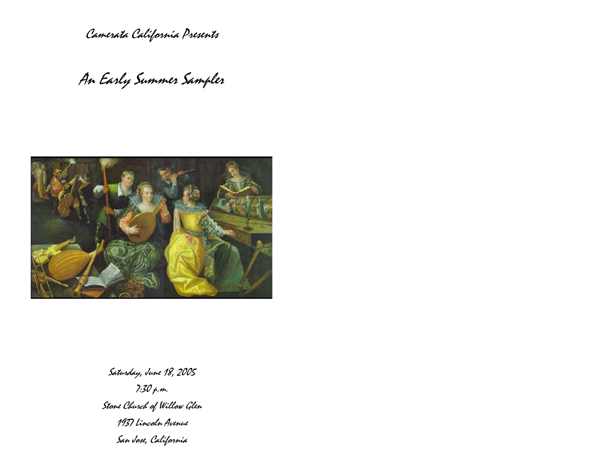Camerata California Presents

An Early Summer Sampler



Saturday, June 18, 2005 7:30 p.m. Stone Church of Willow Glen 1937 Lincoln Avenue San Jose, California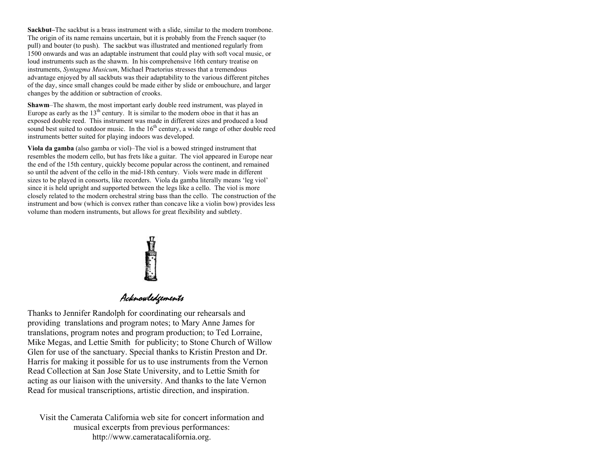**Sackbut–**The sackbut is a brass instrument with a slide, similar to the modern trombone. The origin of its name remains uncertain, but it is probably from the French saquer (to pull) and bouter (to push). The sackbut was illustrated and mentioned regularly from 1500 onwards and was an adaptable instrument that could play with soft vocal music, or loud instruments such as the shawm. In his comprehensive 16th century treatise on instruments, *Syntagma Musicum*, Michael Praetorius stresses that a tremendous advantage enjoyed by all sackbuts was their adaptability to the various different pitches of the day, since small changes could be made either by slide or embouchure, and larger changes by the addition or subtraction of crooks.

**Shawm**–The shawm, the most important early double reed instrument, was played in Europe as early as the  $13<sup>th</sup>$  century. It is similar to the modern oboe in that it has an exposed double reed. This instrument was made in different sizes and produced a loud sound best suited to outdoor music. In the  $16<sup>th</sup>$  century, a wide range of other double reed instruments better suited for playing indoors was developed.

**Viola da gamba** (also gamba or viol)–The viol is a bowed stringed instrument that resembles the modern cello, but has frets like a guitar. The viol appeared in Europe near the end of the 15th century, quickly become popular across the continent, and remained so until the advent of the cello in the mid-18th century. Viols were made in different sizes to be played in consorts, like recorders. Viola da gamba literally means 'leg viol' since it is held upright and supported between the legs like a cello. The viol is more closely related to the modern orchestral string bass than the cello. The construction of the instrument and bow (which is convex rather than concave like a violin bow) provides less volume than modern instruments, but allows for great flexibility and subtlety.

# **Chamberly**<br>Acknowledgements

Thanks to Jennifer Randolph for coordinating our rehearsals and providing translations and program notes; to Mary Anne James for translations, program notes and program production; to Ted Lorraine, Mike Megas, and Lettie Smith for publicity; to Stone Church of Willow Glen for use of the sanctuary. Special thanks to Kristin Preston and Dr. Harris for making it possible for us to use instruments from the Vernon Read Collection at San Jose State University, and to Lettie Smith for acting as our liaison with the university. And thanks to the late Vernon Read for musical transcriptions, artistic direction, and inspiration.

Visit the Camerata California web site for concert information and musical excerpts from previous performances: http://www.cameratacalifornia.org.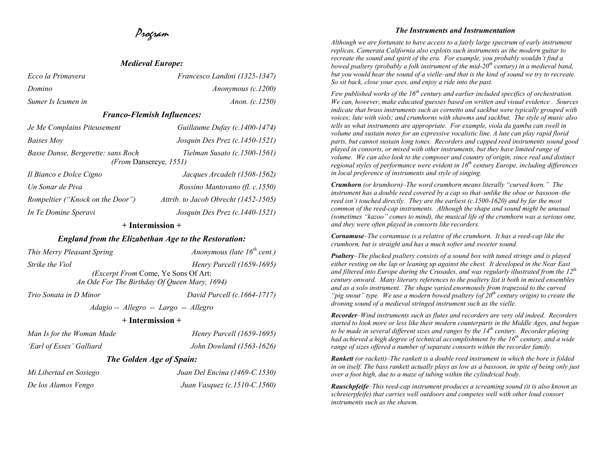# Program

| <i>Meulevill Lurope.</i>                                            |                                      |  |
|---------------------------------------------------------------------|--------------------------------------|--|
| Ecco la Primavera                                                   | Francesco Landini (1325-1347)        |  |
| Domino                                                              | Anonymous $(c.1200)$                 |  |
| Sumer Is Icumen in                                                  | Anon. (c.1250)                       |  |
| <b>Franco-Flemish Influences:</b>                                   |                                      |  |
| Je Me Complains Piteusement                                         | Guillaume Dufay (c.1400-1474)        |  |
| <i>Baises Moy</i>                                                   | Josquin Des Prez (c.1450-1521)       |  |
| Basse Danse, Bergerette: sans Roch<br><i>(From Dansereye, 1551)</i> | Tielman Susato (c.1500-1561)         |  |
| Il Bianco e Dolce Cigno                                             | Jacques Arcadelt (1508-1562)         |  |
| Un Sonar de Piva                                                    | Rossino Mantovano (fl. c.1550)       |  |
| Rompeltier ("Knock on the Door")                                    | Attrib. to Jacob Obrecht (1452-1505) |  |
| In Te Domine Speravi                                                | Josquin Des Prez (c.1440-1521)       |  |

## **+ Intermission +**

## *England from the Elizabethan Age to the Restoration:*

| This Merry Pleasant Spring                   | Anonymous (late $16^{th}$ cent.) |
|----------------------------------------------|----------------------------------|
| <i>Strike the Viol</i>                       | <i>Henry Purcell (1659-1695)</i> |
| <i>(Excerpt From Come, Ye Sons Of Art:</i>   |                                  |
| An Ode For The Birthday Of Queen Mary, 1694) |                                  |
| Trio Sonata in D Minor                       | David Purcell (c.1664-1717)      |
| Adagio -- Allegro -- Largo -- Allegro        |                                  |

### **+ Intermission +**

| Man Is for the Woman Made | Henry Purcell $(1659-1695)$     |
|---------------------------|---------------------------------|
| 'Earl of Essex' Galliard  | John Dowland (1563-1626)        |
|                           | <b>The Golden Age of Spain:</b> |
| Mi Libertad en Sosiego    | Juan Del Encina (1469-C.1530)   |

*De los Alamos Vengo Juan Vasquez (c.1510-C.1560)* 

### *The Instruments and Instrumentation*

*Although we are fortunate to have access to a fairly large spectrum of early instrument replicas, Camerata California also exploits such instruments as the modern guitar to recreate the sound and spirit of the era. For example, you probably wouldn't find a bowed psaltery (probably a folk instrument of the mid-20th century) in a medieval band, but you would hear the sound of a vielle–and that is the kind of sound we try to recreate. So sit back, close your eyes, and enjoy a ride into the past.* 

*Few published works of the 16th century and earlier included specifics of orchestration. We can, however, make educated guesses based on written and visual evidence . Sources indicate that brass instruments such as cornetto and sackbut were typically grouped with voices; lute with viols; and crumhorns with shawms and sackbut. The style of music also tells us what instruments are appropriate. For example, viola da gamba can swell in volume and sustain notes for an expressive vocalistic line. A lute can play rapid florid parts, but cannot sustain long tones. Recorders and capped reed instruments sound good played in consorts, or mixed with other instruments, but they have limited range of volume. We can also look to the composer and country of origin, since real and distinct regional styles of performance were evident in 16<sup>th</sup> century Europe, including differences in local preference of instruments and style of singing.* 

*Crumhorn (or krumhorn)–The word crumhorn means literally "curved horn." The instrument has a double reed covered by a cap so that–unlike the oboe or bassoon–the reed isn't touched directly. They are the earliest (c.1500-1620) and by far the most common of the reed-cap instruments. Although the shape and sound might be unusual (sometimes "kazoo" comes to mind), the musical life of the crumhorn was a serious one, and they were often played in consorts like recorders.* 

*Cornamuse–The cornamuse is a relative of the crumhorn. It has a reed-cap like the crumhorn, but is straight and has a much softer and sweeter sound.* 

*Psaltery–The plucked psaltery consists of a sound box with tuned strings and is played either resting on the lap or leaning up against the chest. It developed in the Near East and filtered into Europe during the Crusades, and was regularly illustrated from the 12th century onward. Many literary references to the psaltery list it both in mixed ensembles and as a solo instrument. The shape varied enormously from trapezoid to the curved "pig snout" type. We use a modern bowed psaltery (of 20th century origin) to create the droning sound of a medieval stringed instrument such as the vielle.* 

*Recorder–Wind instruments such as flutes and recorders are very old indeed. Recorders started to look more or less like their modern counterparts in the Middle Ages, and began to be made in several different sizes and ranges by the 14th century. Recorder playing had achieved a high degree of technical accomplishment by the 16<sup>th</sup> century, and a wide range of sizes offered a number of separate consorts within the recorder family.* 

*Rankett (or rackett)–The rankett is a double reed instrument in which the bore is folded in on itself. The bass rankett actually plays as low as a bassoon, in spite of being only just over a foot high, due to a maze of tubing within the cylindrical body.* 

*Rauschpfeife–This reed-cap instrument produces a screaming sound (it is also known as schreierpfeife) that carries well outdoors and competes well with other loud consort instruments such as the shawm.* 

# *Medieval Europe:*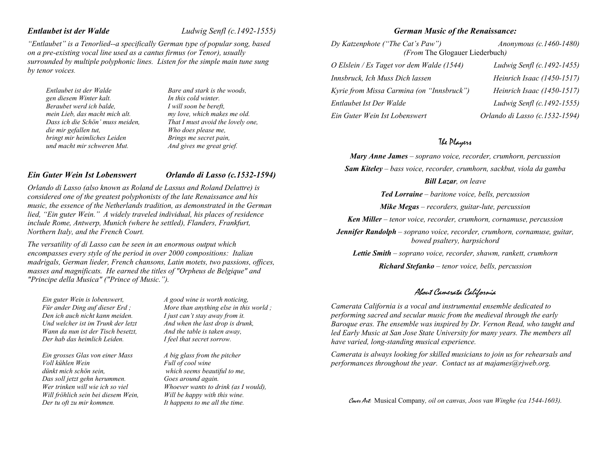*"Entlaubet" is a Tenorlied--a specifically German type of popular song, based on a pre-existing vocal line used as a cantus firmus (or Tenor), usually surrounded by multiple polyphonic lines. Listen for the simple main tune sung by tenor voices.* 

*Entlaubet ist der Walde gen diesem Winter kalt. Beraubet werd ich balde, mein Lieb, das macht mich alt. Dass ich die Schön' muss meiden, die mir gefallen tut, bringt mir heimliches Leiden und macht mir schweren Mut.* 

*Bare and stark is the woods, In this cold winter. I will soon be bereft, my love, which makes me old. That I must avoid the lovely one, Who does please me, Brings me secret pain, And gives me great grief.* 

## *Ein Guter Wein Ist Lobenswert*

## *Orlando di Lasso (c.1532-1594)*

*Orlando di Lasso (also known as Roland de Lassus and Roland Delattre) is considered one of the greatest polyphonists of the late Renaissance and his music, the essence of the Netherlands tradition, as demonstrated in the German lied, "Ein guter Wein." A widely traveled individual, his places of residence include Rome, Antwerp, Munich (where he settled), Flanders, Frankfurt, Northern Italy, and the French Court.* 

*The versatility of di Lasso can be seen in an enormous output which encompasses every style of the period in over 2000 compositions: Italian madrigals, German lieder, French chansons, Latin motets, two passions, offices, masses and magnificats. He earned the titles of "Orpheus de Belgique" and "Principe della Musica" ("Prince of Music.").*

*Ein guter Wein is lobenswert, Für ander Ding auf dieser Erd ; Den ich auch nicht kann meiden. Und welcher ist im Trunk der letzt Wann da nun ist der Tisch besetzt, Der hab das heimlich Leiden.* 

*Ein grosses Glas von einer Mass Voll kühlen Wein dünkt mich schön sein, Das soll jetzt gehn herummen. Wer trinken will wie ich so viel Will fröhlich sein bei diesem Wein, Der tu oft zu mir kommen.* 

*A good wine is worth noticing, More than anything else in this world ; I just can't stay away from it. And when the last drop is drunk, And the table is taken away, I feel that secret sorrow.* 

*A big glass from the pitcher Full of cool wine which seems beautiful to me, Goes around again. Whoever wants to drink (as I would), Will be happy with this wine. It happens to me all the time.* 

## *German Music of the Renaissance:*

*Dy Katzenphote ("The Cat's Paw") Anonymous (c.1460-1480) (From* The Glogauer Liederbuch*) O Elslein / Es Taget vor dem Walde (1544) Ludwig Senfl (c.1492-1455) Innsbruck, Ich Muss Dich lassen Heinrich Isaac (1450-1517) Kyrie from Missa Carmina (on "Innsbruck") Heinrich Isaac (1450-1517) Entlaubet Ist Der Walde Ludwig Senfl (c.1492-1555) Ein Guter Wein Ist Lobenswert Orlando di Lasso (c.1532-1594)* 

## The Players

*Mary Anne James – soprano voice, recorder, crumhorn, percussion* 

*Sam Kiteley – bass voice, recorder, crumhorn, sackbut, viola da gamba* 

*Bill Lazar, on leave* 

*Ted Lorraine – baritone voice, bells, percussion* 

*Mike Megas – recorders, guitar-lute, percussion* 

*Ken Miller – tenor voice, recorder, crumhorn, cornamuse, percussion* 

*Jennifer Randolph – soprano voice, recorder, crumhorn, cornamuse, guitar, bowed psaltery, harpsichord* 

*Lettie Smith – soprano voice, recorder, shawm, rankett, crumhorn* 

*Richard Stefanko – tenor voice, bells, percussion* 

## About Camerata California

*Camerata California is a vocal and instrumental ensemble dedicated to performing sacred and secular music from the medieval through the early Baroque eras. The ensemble was inspired by Dr. Vernon Read, who taught and led Early Music at San Jose State University for many years. The members all have varied, long-standing musical experience.* 

*Camerata is always looking for skilled musicians to join us for rehearsals and performances throughout the year. Contact us at majames@rjweb.org.* 

Cover Art: Musical Company*, oil on canvas, Joos van Winghe (ca 1544-1603).*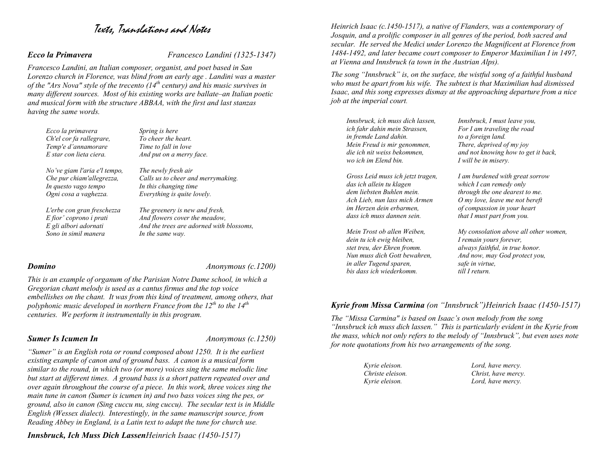# Texts, Translations and Notes

*Ecco la Primavera Francesco Landini (1325-1347)* 

*Francesco Landini, an Italian composer, organist, and poet based in San Lorenzo church in Florence, was blind from an early age . Landini was a master of the "Ars Nova" style of the trecento (14th century) and his music survives in many different sources. Most of his existing works are ballate–an Italian poetic and musical form with the structure ABBAA, with the first and last stanzas having the same words.* 

| Ecco la primavera            | Spring is here                           |
|------------------------------|------------------------------------------|
| Ch'el cor fa rallegrare,     | To cheer the heart.                      |
| Temp'e d'annamorare          | Time to fall in love                     |
| E star con lieta ciera.      | And put on a merry face.                 |
| No've giam l'aria e'l tempo, | The newly fresh air                      |
| Che pur chiam'allegrezza,    | Calls us to cheer and merrymaking.       |
| In questo vago tempo         | In this changing time                    |
| Ogni cosa a vaghezza.        | Everything is quite lovely.              |
| L'erbe con gran freschezza   | The greenery is new and fresh,           |
| E fior' coprono i prati      | And flowers cover the meadow,            |
| E gli albori adornati        | And the trees are adorned with blossoms, |
| Sono in simil manera         | In the same way.                         |

*Domino Anonymous (c.1200)* 

*This is an example of organum of the Parisian Notre Dame school, in which a Gregorian chant melody is used as a cantus firmus and the top voice embellishes on the chant. It was from this kind of treatment, among others, that polyphonic music developed in northern France from the 12th to the 14th centuries. We perform it instrumentally in this program.* 

**Sumer Is Icumen In** *Anonymous (c.1250)* 

*"Sumer" is an English rota or round composed about 1250. It is the earliest existing example of canon and of ground bass. A canon is a musical form similar to the round, in which two (or more) voices sing the same melodic line but start at different times. A ground bass is a short pattern repeated over and over again throughout the course of a piece. In this work, three voices sing the main tune in canon (Sumer is icumen in) and two bass voices sing the pes, or ground, also in canon (Sing cuccu nu, sing cuccu). The secular text is in Middle English (Wessex dialect). Interestingly, in the same manuscript source, from Reading Abbey in England, is a Latin text to adapt the tune for church use.* 

*Innsbruck, Ich Muss Dich LassenHeinrich Isaac (1450-1517)* 

*Heinrich Isaac (c.1450-1517), a native of Flanders, was a contemporary of Josquin, and a prolific composer in all genres of the period, both sacred and secular. He served the Medici under Lorenzo the Magnificent at Florence from 1484-1492, and later became court composer to Emperor Maximilian I in 1497, at Vienna and Innsbruck (a town in the Austrian Alps).* 

*The song "Innsbruck" is, on the surface, the wistful song of a faithful husband who must be apart from his wife. The subtext is that Maximilian had dismissed Isaac, and this song expresses dismay at the approaching departure from a nice job at the imperial court.*

*Innsbruck, ich muss dich lassen, ich fahr dahin mein Strassen, in fremde Land dahin. Mein Freud is mir genommen, die ich nit weiss bekommen, wo ich im Elend bin.* 

*Gross Leid muss ich jetzt tragen, das ich allein tu klagen dem liebsten Buhlen mein. Ach Lieb, nun lass mich Armen im Herzen dein erbarmen, dass ich muss dannen sein.* 

*Mein Trost ob allen Weiben, dein tu ich ewig bleiben, stet treu, der Ehren fromm. Nun muss dich Gott bewahren, in aller Tugend sparen, bis dass ich wiederkomm.* 

*Innsbruck, I must leave you, For I am traveling the road to a foreign land. There, deprived of my joy and not knowing how to get it back, I will be in misery.* 

*I am burdened with great sorrow which I can remedy only through the one dearest to me. O my love, leave me not bereft of compassion in your heart that I must part from you.* 

*My consolation above all other women, I remain yours forever, always faithful, in true honor. And now, may God protect you, safe in virtue, till I return.* 

## *Kyrie from Missa Carmina (on "Innsbruck")Heinrich Isaac (1450-1517)*

*The "Missa Carmina" is based on Isaac's own melody from the song "Innsbruck ich muss dich lassen." This is particularly evident in the Kyrie from the mass, which not only refers to the melody of "Innsbruck", but even uses note for note quotations from his two arrangements of the song.* 

| Kyrie eleison.   | Lord, have mercy.   |
|------------------|---------------------|
| Christe eleison. | Christ, have mercy. |
| Kyrie eleison.   | Lord, have mercy.   |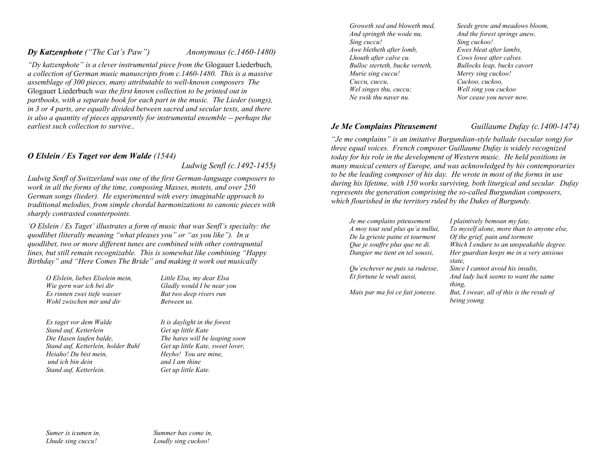## *Dy Katzenphote ("The Cat's Paw") Anonymous (c.1460-1480)*

*"Dy katzenphote" is a clever instrumental piece from the* Glogauer Liederbuch*, a collection of German music manuscripts from c.1460-1480. This is a massive assemblage of 300 pieces, many attributable to well-known composers The*  Glogauer Liederbuch *was the first known collection to be printed out in partbooks, with a separate book for each part in the music. The Lieder (songs), in 3 or 4 parts, are equally divided between sacred and secular texts, and there is also a quantity of pieces apparently for instrumental ensemble -- perhaps the earliest such collection to survive..* 

## *O Elslein / Es Taget vor dem Walde (1544)*

 *Ludwig Senfl (c.1492-1455)* 

*Ludwig Senfl of Switzerland was one of the first German-language composers to work in all the forms of the time, composing Masses, motets, and over 250 German songs (lieder). He experimented with every imaginable approach to traditional melodies, from simple chordal harmonizations to canonic pieces with sharply contrasted counterpoints.* 

*'O Elslein / Es Taget' illustrates a form of music that was Senfl's specialty: the quodlibet (literally meaning "what pleases you" or "as you like"). In a quodlibet, two or more different tunes are combined with other contrapuntal lines, but still remain recognizable. This is somewhat like combining "Happy Birthday" and "Here Comes The Bride" and making it work out musically*

*O Elslein, liebes Elselein mein, Wie gern war ich bei dir Es rinnen zwei tiefe wasser Wohl zwischen mir und dir* 

*Es taget vor dem Walde Stand auf, Ketterlein Die Hasen laufen balde, Stand auf, Ketterlein, holder Buhl Heiaho! Du bist mein, und ich bin dein Stand auf, Ketterlein.* 

*Little Elsa, my dear Elsa Gladly would I be near you But two deep rivers run Between us.* 

*It is daylight in the forest Get up little Kate The hares will be leaping soon Get up little Kate, sweet lover, Heyho! You are mine, and I am thine Get up little Kate.* 

*Groweth sed and bloweth med, And springth the wode nu, Sing cuccu! Awe bletheth after lomb, Lhouth after calve cu. Bulloc sterteth, bucke verteth, Murie sing cuccu! Cuccu, cuccu, Wel singes thu, cuccu; Ne swik thu naver nu.* 

## *Je Me Complains Piteusement Guillaume Dufay (c.1400-1474)*

*Ewes bleat after lambs, Cows lowe after calves. Bullocks leap, bucks cavort Merry sing cuckoo! Cuckoo, cuckoo, Well sing you cuckoo Nor cease you never now.* 

*Seeds grow and meadows bloom, And the forest springs anew,* 

*Sing cuckoo!* 

*"Je me complains" is an imitative Burgundian-style ballade (secular song) for three equal voices. French composer Guillaume Dufay is widely recognized today for his role in the development of Western music. He held positions in many musical centers of Europe, and was acknowledged by his contemporaries to be the leading composer of his day. He wrote in most of the forms in use during his lifetime, with 150 works surviving, both liturgical and secular. Dufay represents the generation comprising the so-called Burgundian composers, which flourished in the territory ruled by the Dukes of Burgundy.* 

| Je me complains piteusement       | I plaintively bemoan my fate,                              |
|-----------------------------------|------------------------------------------------------------|
| A moy tout seul plus qu'a nullui, | To myself alone, more than to anyone else,                 |
| De la grieste paine et tourment   | Of the grief, pain and torment                             |
| Que je souffre plus que ne di.    | Which I endure to an unspeakable degree.                   |
| Dangier me tient en tel soussi,   | Her guardian keeps me in a very anxious<br>state,          |
| Qu'eschever ne puis sa rudesse,   | Since I cannot avoid his insults,                          |
| Et fortune le veult aussi,        | And lady luck seems to want the same<br>thing.             |
| Mais par ma foi ce fait jonesse.  | But, I swear, all of this is the result of<br>being voung. |

*Summer has come in, Loudly sing cuckoo!*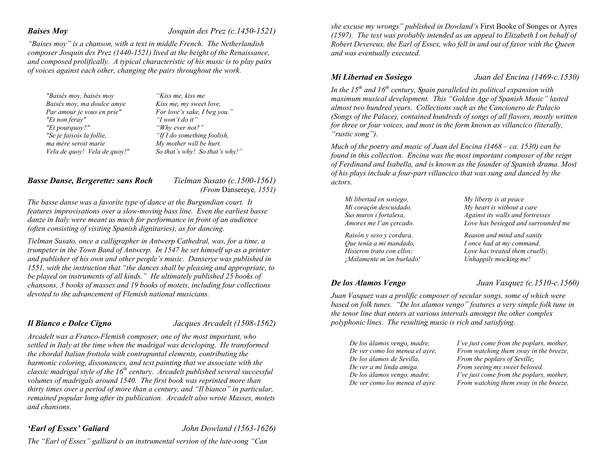## *Baises Moy Josquin des Prez (c.1450-1521)*

*"Baises moy" is a chanson, with a text in middle French. The Netherlandish composer Josquin des Prez (1440-1521) lived at the height of the Renaissance, and composed prolifically. A typical characteristic of his music is to play pairs of voices against each other, changing the pairs throughout the work.* 

*"Baisés moy, baisés moy Baisés moy, ma doulce amye Par amour je vous en prie" "Et non feray" "Et pourquoy?" "Se je faisois la follie, ma mère seroit marie Vela de quoy! Vela de quoy!"* 

*"Kiss me, kiss me Kiss me, my sweet love, For love's sake, I beg you." "I won't do it" "Why ever not?" "If I do something foolish, My mother will be hurt. So that's why! So that's why!"*

## *Basse Danse, Bergerette: sans Roch Tielman Susato (c.1500-1561)*

 *(From* Dansereye*, 1551)* 

*The basse danse was a favorite type of dance at the Burgundian court. It features improvisations over a slow-moving bass line. Even the earliest basse danze in Italy were meant as much for performance in front of an audience (often consisting of visiting Spanish dignitaries), as for dancing.* 

*Tielman Susato, once a calligrapher in Antwerp Cathedral, was, for a time, a trumpeter in the Town Band of Antwerp. In 1547 he set himself up as a printer and publisher of his own and other people's music. Danserye was published in 1551, with the instruction that "the dances shall be pleasing and appropriate, to be played on instruments of all kinds." He ultimately published 25 books of chansons, 3 books of masses and 19 books of motets, including four collections devoted to the advancement of Flemish national musicians.* 

*Il Bianco e Dolce Cigno Jacques Arcadelt (1508-1562)* 

*Arcadelt was a Franco-Flemish composer, one of the most important, who settled in Italy at the time when the madrigal was developing. He transformed the chordal Italian frottola with contrapuntal elements, contributing the harmonic coloring, dissonances, and text painting that we associate with the classic madrigal style of the 16th century. Arcadelt published several successful volumes of madrigals around 1540. The first book was reprinted more than thirty times over a period of more than a century, and "Il bianco" in particular, remained popular long after its publication. Arcadelt also wrote Masses, motets and chansons.* 

*'Earl of Essex' Galiard John Dowland (1563-1626)* 

*The "Earl of Essex" galliard is an instrumental version of the lute-song "Can* 

*she excuse my wrongs" published in Dowland's* First Booke of Songes or Ayres *(1597). The text was probably intended as an appeal to Elizabeth I on behalf of Robert Devereux, the Earl of Essex, who fell in and out of favor with the Queen and was eventually executed.* 

*Mi Libertad en Sosiego Juan del Encina (1469-c.1530)* 

In the  $15<sup>th</sup>$  and  $16<sup>th</sup>$  century. Spain paralleled its political expansion with *maximum musical development. This "Golden Age of Spanish Music" lasted almost two hundred years. Collections such as the Cancionero de Palacio (Songs of the Palace), contained hundreds of songs of all flavors, mostly written for three or four voices, and most in the form known as villancico (literally, "rustic song").* 

*Much of the poetry and music of Juan del Encina (1468 – ca. 1530) can be found in this collection. Encina was the most important composer of the reign of Ferdinand and Isabella, and is known as the founder of Spanish drama. Most of his plays include a four-part villancico that was sung and danced by the actors.* 

| Mi libertad en sosiego,   | My liberty is at peace              |
|---------------------------|-------------------------------------|
| Mi coraçón descuidado,    | My heart is without a care          |
| Sus muros i fortalesa,    | Against its walls and fortresses    |
| Amores me l'an çercado.   | Love has besieged and surrounded me |
| Raisón y seso y cordura,  | Reason and mind and sanity          |
| Que tenía a mi mandado,   | I once had at my command.           |
| Hisieron trato con ellos: | Love has treated them cruelly,      |
| ¡Malamente m'an burlado!  | Unhappily mocking me!               |

*De los Alamos Vengo Juan Vasquez (c.1510-c.1560)* 

*Juan Vasquez was a prolific composer of secular songs, some of which were based on folk tunes. "De los alamos vengo" features a very simple folk tune in the tenor line that enters at various intervals amongst the other complex polyphonic lines. The resulting music is rich and satisfying.* 

*De los álamos vengo, madre, De ver como los menea el ayre, De los álamos de Sevilla, De ver a mi linda amiga. De los álamos vengo, madre, De ver como los menea el ayre.*  *I've just come from the poplars, mother, From watching them sway in the breeze, From the poplars of Seville, From seeing my sweet beloved. I've just come from the poplars, mother, From watching them sway in the breeze,*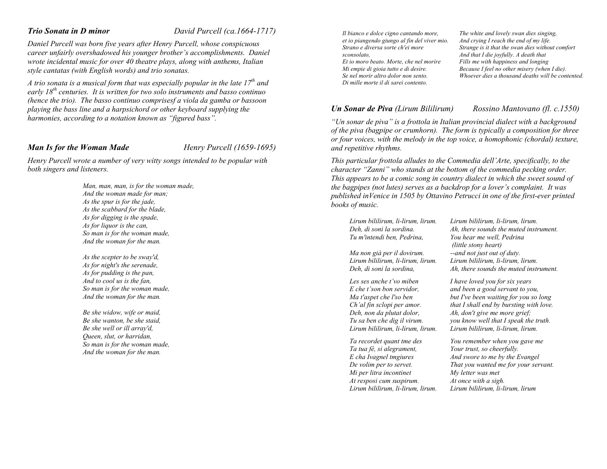## *Trio Sonata in D minor David Purcell (ca.1664-1717)*

*Daniel Purcell was born five years after Henry Purcell, whose conspicuous career unfairly overshadowed his younger brother's accomplishments. Daniel wrote incidental music for over 40 theatre plays, along with anthems, Italian style cantatas (with English words) and trio sonatas.* 

*A trio sonata is a musical form that was especially popular in the late 17th and early 18th centuries. It is written for two solo instruments and basso continuo (hence the trio). The basso continuo comprisesf a viola da gamba or bassoon playing the bass line and a harpsichord or other keyboard supplying the harmonies, according to a notation known as "figured bass".*

## *Man Is for the Woman Made Henry Purcell (1659-1695)*

*Henry Purcell wrote a number of very witty songs intended to be popular with both singers and listeners.* 

> *Man, man, man, is for the woman made, And the woman made for man; As the spur is for the jade, As the scabbard for the blade, As for digging is the spade, As for liquor is the can, So man is for the woman made, And the woman for the man.*

*As the scepter to be sway'd, As for night's the serenade, As for pudding is the pan, And to cool us is the fan, So man is for the woman made, And the woman for the man.*

*Be she widow, wife or maid, Be she wanton, be she staid, Be she well or ill array'd, Queen, slut, or harridan, So man is for the woman made, And the woman for the man.* 

*Il bianco e dolce cigno cantando more, et io piangendo giungo al fin del viver mio. Strano e diversa sorte ch'ei more sconsolato, Et io moro beato. Morte, che nel morire Mi empie di gioia tutto e di desire. Se nel morir altro dolor non sento.* 

*Di mille morte il di sarei contento.*

## *Un Sonar de Piva (Lirum Bililirum) Rossino Mantovano (fl. c.1550)*

*The white and lovely swan dies singing, And crying I reach the end of my life. Strange is it that the swan dies without comfort And that I die joyfully. A death that Fills me with happiness and longing Because I feel no other misery (when I die). Whoever dies a thousand deaths will be contented.*

*"Un sonar de piva" is a frottola in Italian provincial dialect with a background of the piva (bagpipe or crumhorn). The form is typically a composition for three or four voices, with the melody in the top voice, a homophonic (chordal) texture, and repetitive rhythms.* 

*This particular frottola alludes to the Commedia dell'Arte, specifically, to the character "Zanni" who stands at the bottom of the commedia pecking order. This appears to be a comic song in country dialect in which the sweet sound of the bagpipes (not lutes) serves as a backdrop for a lover's complaint. It was published inVenice in 1505 by Ottavino Petrucci in one of the first-ever printed books of music.* 

*Lirum bililirum, li-lirum, lirum. Deh, di soni la sordina. Tu m'intendi ben, Pedrina,* 

*Ma non già per il dovirum. Lirum bililirum, li-lirum, lirum. Deh, di soni la sordina,* 

*Les ses anche t'vo miben E che t'son bon servidor, Ma t'aspet che l'so ben Ch'al fin sclopi per amor. Deh, non da plutat dolor, Tu sa ben che dig il virum. Lirum bililirum, li-lirum, lirum.* 

*Ta recordet quant tme des Ta tua fé, si alegrament, E cha Ivagnel tmgiures De volim per to servet. Mi per litra incontinet At resposi cum suspirum. Lirum bililirum, li-lirum, lirum.* *Lirum bililirum, li-lirum, lirum. Ah, there sounds the muted instrument. You hear me well, Pedrina (little stony heart) --and not just out of duty. Lirum bililirum, li-lirum, lirum. Ah, there sounds the muted instrument.* 

*I have loved you for six years and been a good servant to you, but I've been waiting for you so long that I shall end by bursting with love. Ah, don't give me more grief; you know well that I speak the truth. Lirum bililirum, li-lirum, lirum.* 

*You remember when you gave me Your trust, so cheerfully. And swore to me by the Evangel That you wanted me for your servant. My letter was met At once with a sigh. Lirum bililirum, li-lirum, lirum*